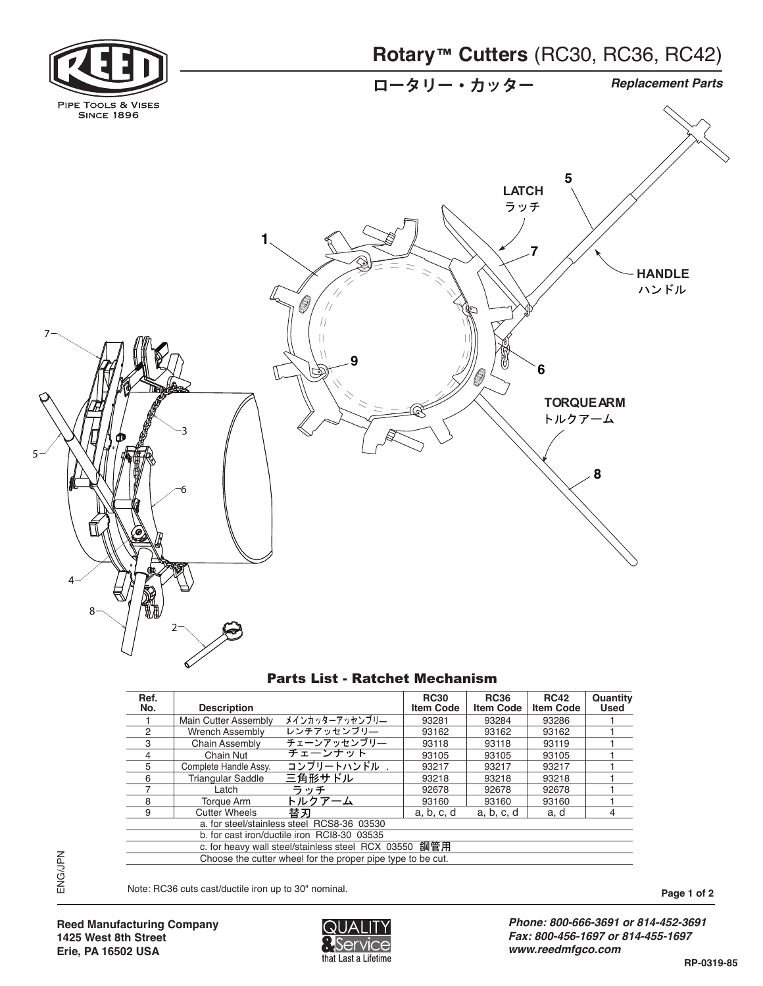



| Ref.<br>No. | <b>Description</b>                                          | <b>RC30</b><br><b>Item Code</b> | <b>RC36</b><br><b>Item Code</b> | <b>RC42</b><br><b>Item Code</b> | Quantity<br><b>Used</b> |
|-------------|-------------------------------------------------------------|---------------------------------|---------------------------------|---------------------------------|-------------------------|
|             | メインカッターアッセンブリー<br><b>Main Cutter Assembly</b>               | 93281                           | 93284                           | 93286                           |                         |
| 2           | レンチアッセンブリー<br><b>Wrench Assembly</b>                        | 93162                           | 93162                           | 93162                           |                         |
| 3           | チェーンアッセンブリー<br><b>Chain Assembly</b>                        | 93118                           | 93118                           | 93119                           |                         |
|             | チェーンナット<br>Chain Nut                                        | 93105                           | 93105                           | 93105                           |                         |
| 5           | コンプリートハンドル .<br>Complete Handle Assv.                       | 93217                           | 93217                           | 93217                           |                         |
| 6           | 三角形サドル<br><b>Triangular Saddle</b>                          | 93218                           | 93218                           | 93218                           |                         |
|             | ラッチ<br>Latch                                                | 92678                           | 92678                           | 92678                           |                         |
| 8           | トルクアーム<br>Torque Arm                                        | 93160                           | 93160                           | 93160                           |                         |
| 9           | 替刃<br><b>Cutter Wheels</b>                                  | a, b, c, d                      | a, b, c, d                      | a, d                            | 4                       |
|             | a. for steel/stainless steel RCS8-36 03530                  |                                 |                                 |                                 |                         |
|             | b. for cast iron/ductile iron RCI8-30 03535                 |                                 |                                 |                                 |                         |
|             | c. for heavy wall steel/stainless steel RCX 03550 鋼管用       |                                 |                                 |                                 |                         |
|             | Choose the cutter wheel for the proper pipe type to be cut. |                                 |                                 |                                 |                         |

Note: RC36 cuts cast/ductile iron up to 30" nominal. **Page 1 of 2** notice that the set of 2 <sub>243-0</sub>021<br>기대 대한민국의 대한민국의 대한민국의 대한민국의 대한민국의 대한민국의 대한민국의 대한민국의 대한민국의 대한민국의 대한민국의 대한민국의 대한민국의 대한민국의 대한민국의 대한민국의 대한민국의 대한민국의 <br>1973-1002  $\overline{1}$ -Note. HC30 cuts castrumente from up to



*Phone: 800-666-3691 or 814-452-3691 Fax: 800-456-1697 or 814-455-1697 www.reedmfgco.com*